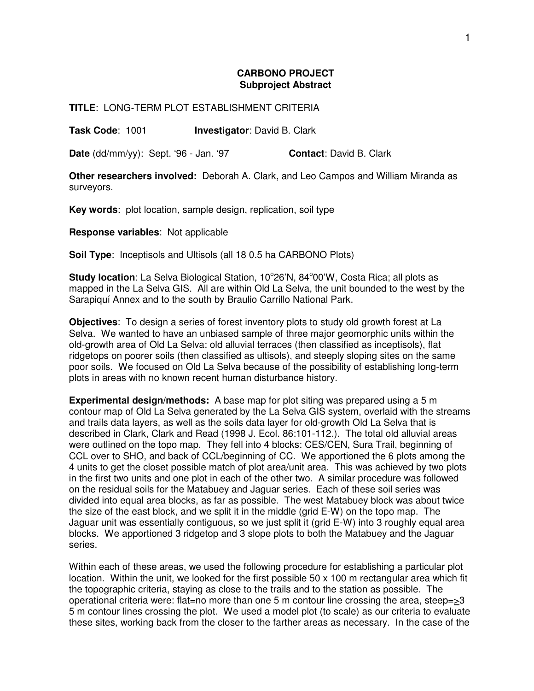## **CARBONO PROJECT Subproject Abstract**

**TITLE**: LONG-TERM PLOT ESTABLISHMENT CRITERIA

**Task Code**: 1001 **Investigator**: David B. Clark

**Date** (dd/mm/yy): Sept. '96 - Jan. '97 **Contact**: David B. Clark

**Other researchers involved:** Deborah A. Clark, and Leo Campos and William Miranda as surveyors.

**Key words**: plot location, sample design, replication, soil type

**Response variables**: Not applicable

**Soil Type**: Inceptisols and Ultisols (all 18 0.5 ha CARBONO Plots)

Study location: La Selva Biological Station, 10°26'N, 84°00'W, Costa Rica; all plots as mapped in the La Selva GIS. All are within Old La Selva, the unit bounded to the west by the Sarapiquí Annex and to the south by Braulio Carrillo National Park.

**Objectives**: To design a series of forest inventory plots to study old growth forest at La Selva. We wanted to have an unbiased sample of three major geomorphic units within the old-growth area of Old La Selva: old alluvial terraces (then classified as inceptisols), flat ridgetops on poorer soils (then classified as ultisols), and steeply sloping sites on the same poor soils. We focused on Old La Selva because of the possibility of establishing long-term plots in areas with no known recent human disturbance history.

**Experimental design/methods:** A base map for plot siting was prepared using a 5 m contour map of Old La Selva generated by the La Selva GIS system, overlaid with the streams and trails data layers, as well as the soils data layer for old-growth Old La Selva that is described in Clark, Clark and Read (1998 J. Ecol. 86:101-112.). The total old alluvial areas were outlined on the topo map. They fell into 4 blocks: CES/CEN, Sura Trail, beginning of CCL over to SHO, and back of CCL/beginning of CC. We apportioned the 6 plots among the 4 units to get the closet possible match of plot area/unit area. This was achieved by two plots in the first two units and one plot in each of the other two. A similar procedure was followed on the residual soils for the Matabuey and Jaguar series. Each of these soil series was divided into equal area blocks, as far as possible. The west Matabuey block was about twice the size of the east block, and we split it in the middle (grid E-W) on the topo map. The Jaguar unit was essentially contiguous, so we just split it (grid E-W) into 3 roughly equal area blocks. We apportioned 3 ridgetop and 3 slope plots to both the Matabuey and the Jaguar series.

Within each of these areas, we used the following procedure for establishing a particular plot location. Within the unit, we looked for the first possible 50 x 100 m rectangular area which fit the topographic criteria, staying as close to the trails and to the station as possible. The operational criteria were: flat=no more than one 5 m contour line crossing the area, steep=>3 5 m contour lines crossing the plot. We used a model plot (to scale) as our criteria to evaluate these sites, working back from the closer to the farther areas as necessary. In the case of the